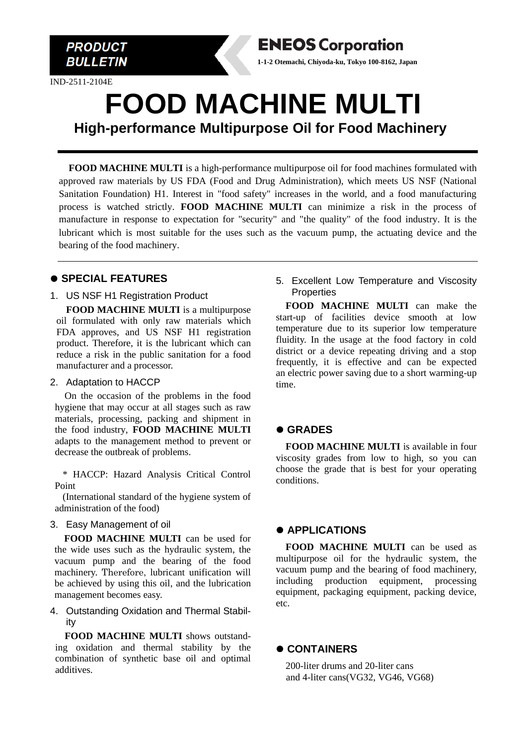

IND-2511-2104E

# **FOOD MACHINE MULTI High-performance Multipurpose Oil for Food Machinery**

**ENEOS Corporation 1-1-2 Otemachi, Chiyoda-ku, Tokyo 100-8162, Japan**

**FOOD MACHINE MULTI** is a high-performance multipurpose oil for food machines formulated with approved raw materials by US FDA (Food and Drug Administration), which meets US NSF (National Sanitation Foundation) H1. Interest in "food safety" increases in the world, and a food manufacturing process is watched strictly. **FOOD MACHINE MULTI** can minimize a risk in the process of manufacture in response to expectation for "security" and "the quality" of the food industry. It is the lubricant which is most suitable for the uses such as the vacuum pump, the actuating device and the bearing of the food machinery.

#### ⚫ **SPECIAL FEATURES**

1. US NSF H1 Registration Product

**FOOD MACHINE MULTI** is a multipurpose oil formulated with only raw materials which FDA approves, and US NSF H1 registration product. Therefore, it is the lubricant which can reduce a risk in the public sanitation for a food manufacturer and a processor.

#### 2. Adaptation to HACCP

On the occasion of the problems in the food hygiene that may occur at all stages such as raw materials, processing, packing and shipment in the food industry, **FOOD MACHINE MULTI** adapts to the management method to prevent or decrease the outbreak of problems.

\* HACCP: Hazard Analysis Critical Control Point

(International standard of the hygiene system of administration of the food)

#### 3. Easy Management of oil

**FOOD MACHINE MULTI** can be used for the wide uses such as the hydraulic system, the vacuum pump and the bearing of the food machinery. Therefore, lubricant unification will be achieved by using this oil, and the lubrication management becomes easy.

4. Outstanding Oxidation and Thermal Stability

**FOOD MACHINE MULTI** shows outstanding oxidation and thermal stability by the combination of synthetic base oil and optimal additives.

5. Excellent Low Temperature and Viscosity **Properties** 

**FOOD MACHINE MULTI** can make the start-up of facilities device smooth at low temperature due to its superior low temperature fluidity. In the usage at the food factory in cold district or a device repeating driving and a stop frequently, it is effective and can be expected an electric power saving due to a short warming-up time.

## ⚫ **GRADES**

**FOOD MACHINE MULTI** is available in four viscosity grades from low to high, so you can choose the grade that is best for your operating conditions.

#### ⚫ **APPLICATIONS**

**FOOD MACHINE MULTI** can be used as multipurpose oil for the hydraulic system, the vacuum pump and the bearing of food machinery, including production equipment, processing equipment, packaging equipment, packing device, etc.

#### ⚫ **CONTAINERS**

200-liter drums and 20-liter cans and 4-liter cans(VG32, VG46, VG68)